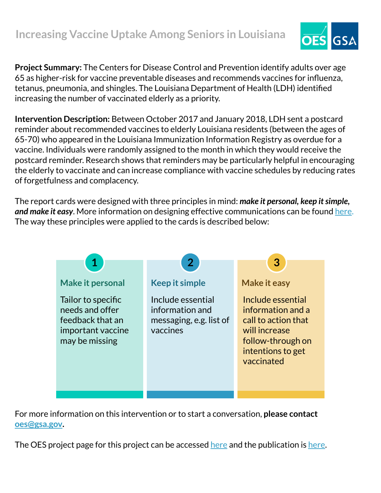

**Project Summary:** The Centers for Disease Control and Prevention identify adults over age 65 as higher-risk for vaccine preventable diseases and recommends vaccines for influenza, tetanus, pneumonia, and shingles. The Louisiana Department of Health (LDH) identified increasing the number of vaccinated elderly as a priority.

**Intervention Description:** Between October 2017 and January 2018, LDH sent a postcard reminder about recommended vaccines to elderly Louisiana residents (between the ages of 65-70) who appeared in the Louisiana Immunization Information Registry as overdue for a vaccine. Individuals were randomly assigned to the month in which they would receive the postcard reminder. Research shows that reminders may be particularly helpful in encouraging the elderly to vaccinate and can increase compliance with vaccine schedules by reducing rates of forgetfulness and complacency.

The report cards were designed with three principles in mind: *make it personal, keep it simple, and make it easy*. More information on designing effective communications can be found [here.](https://oes.gsa.gov/assets/abstracts/OES%20Learnings%20on%20Writing%20Better%20Communications%202018.pdf) The way these principles were applied to the cards is described below:



For more information on this intervention or to start a conversation, **please contact [oes@gsa.gov](mailto:oes@gsa.gov).**

The OES project page for this project can be accessed [here](https://oes.gsa.gov/projects/increasing-vaccine-uptake-among-seniors/) and the publication is [here.](https://www.cambridge.org/core/journals/behavioural-public-policy/article/effect-of-postcard-reminders-on-vaccinations-among-the-elderly-a-blockrandomized-experiment/50007EBDEB8ED4D299EFE37C4F73FCB2)